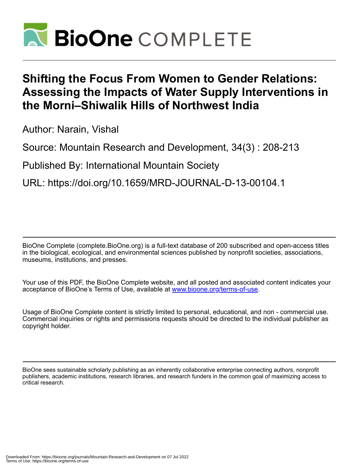

# **Shifting the Focus From Women to Gender Relations: Assessing the Impacts of Water Supply Interventions in the Morni–Shiwalik Hills of Northwest India**

Author: Narain, Vishal

Source: Mountain Research and Development, 34(3) : 208-213

Published By: International Mountain Society

URL: https://doi.org/10.1659/MRD-JOURNAL-D-13-00104.1

BioOne Complete (complete.BioOne.org) is a full-text database of 200 subscribed and open-access titles in the biological, ecological, and environmental sciences published by nonprofit societies, associations, museums, institutions, and presses.

Your use of this PDF, the BioOne Complete website, and all posted and associated content indicates your acceptance of BioOne's Terms of Use, available at www.bioone.org/terms-of-use.

Usage of BioOne Complete content is strictly limited to personal, educational, and non - commercial use. Commercial inquiries or rights and permissions requests should be directed to the individual publisher as copyright holder.

BioOne sees sustainable scholarly publishing as an inherently collaborative enterprise connecting authors, nonprofit publishers, academic institutions, research libraries, and research funders in the common goal of maximizing access to critical research.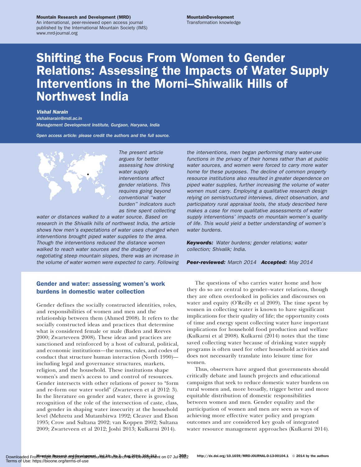## Mountain Research and Development (MRD)

An international, peer-reviewed open access journal published by the International Mountain Society (IMS) www.mrd-journal.org

# Shifting the Focus From Women to Gender Relations: Assessing the Impacts of Water Supply Interventions in the Morni–Shiwalik Hills of Northwest India

Vishal Narain

vishalnarain@mdi.ac.in Management Development Institute, Gurgaon, Haryana, India

Open access article: please credit the authors and the full source.



The present article argues for better assessing how drinking water supply interventions affect gender relations. This requires going beyond conventional ''water burden'' indicators such as time spent collecting

water or distances walked to a water source. Based on research in the Shivalik hills of northwest India, the article shows how men's expectations of water uses changed when interventions brought piped water supplies to the area. Though the interventions reduced the distance women walked to reach water sources and the drudgery of negotiating steep mountain slopes, there was an increase in the volume of water women were expected to carry. Following

# Gender and water: assessing women's work burdens in domestic water collection

Gender defines the socially constructed identities, roles, and responsibilities of women and men and the relationship between them (Ahmed 2008). It refers to the socially constructed ideas and practices that determine what is considered female or male (Baden and Reeves 2000; Zwarteveen 2008). These ideas and practices are sanctioned and reinforced by a host of cultural, political, and economic institutions—the norms, rules, and codes of conduct that structure human interaction (North 1990) including legal and governance structures, markets, religion, and the household. These institutions shape women's and men's access to and control of resources. Gender intersects with other relations of power to "form and re-form our water world'' (Zwarteveen et al 2012: 3). In the literature on gender and water, there is growing recognition of the role of the intersection of caste, class, and gender in shaping water insecurity at the household level (Mehretu and Mutambirwa 1992; Cleaver and Elson 1995; Crow and Sultana 2002; van Koppen 2002; Sultana 2009; Zwarteveen et al 2012; Joshi 2013; Kulkarni 2014).

the interventions, men began performing many water-use functions in the privacy of their homes rather than at public water sources, and women were forced to carry more water home for these purposes. The decline of common property resource institutions also resulted in greater dependence on piped water supplies, further increasing the volume of water women must carry. Employing a qualitative research design relying on semistructured interviews, direct observation, and participatory rural appraisal tools, the study described here makes a case for more qualitative assessments of water supply interventions' impacts on mountain women's quality of life. This would yield a better understanding of women's water burdens.

**Keywords:** Water burdens; gender relations; water collection; Shivalik; India.

Peer-reviewed: March 2014 Accepted: May 2014

The questions of who carries water home and how they do so are central to gender–water relations, though they are often overlooked in policies and discourses on water and equity (O'Reilly et al 2009). The time spent by women in collecting water is known to have significant implications for their quality of life; the opportunity costs of time and energy spent collecting water have important implications for household food production and welfare (Kulkarni et al 2008). Kulkarni (2014) notes that the time saved collecting water because of drinking water supply programs is often used for other household activities and does not necessarily translate into leisure time for women.

Thus, observers have argued that governments should critically debate and launch projects and educational campaigns that seek to reduce domestic water burdens on rural women and, more broadly, trigger better and more equitable distribution of domestic responsibilities between women and men. Gender equality and the participation of women and men are seen as ways of achieving more effective water policy and program outcomes and are considered key goals of integrated water resource management approaches (Kulkarni 2014).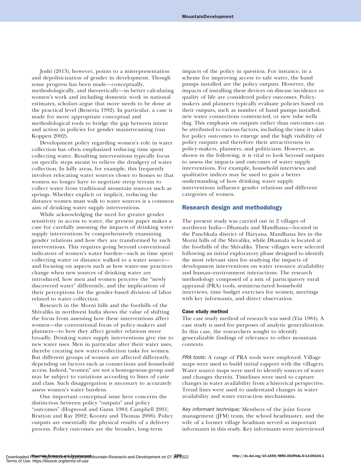Joshi (2013), however, points to a misrepresentation and depoliticization of gender in development. Though some progress has been made—conceptually, methodologically, and theoretically—in better calculating women's work and including domestic work in national estimates, scholars argue that more needs to be done at the practical level (Beneria 1992). In particular, a case is made for more appropriate conceptual and methodological tools to bridge the gap between intent and action in policies for gender mainstreaming (van Koppen 2002).

Development policy regarding women's role in water collection has often emphasized reducing time spent collecting water. Resulting interventions typically focus on specific steps meant to relieve the drudgery of water collection. In hilly areas, for example, this frequently involves relocating water sources closer to homes so that women no longer have to negotiate steep terrain to collect water from traditional mountain sources such as springs. Whether explicit or implicit, reducing the distance women must walk to water sources is a common aim of drinking water supply interventions.

While acknowledging the need for greater gender sensitivity in access to water, the present paper makes a case for carefully assessing the impacts of drinking water supply interventions by comprehensively examining gender relations and how they are transformed by such interventions. This requires going beyond conventional indicators of women's water burden—such as time spent collecting water or distance walked to a water source and focusing on aspects such as how water-use practices change when new sources of drinking water are introduced, how men and women perceive the "newly discovered water'' differently, and the implications of their perceptions for the gender-based division of labor related to water collection.

Research in the Morni hills and the foothills of the Shivaliks in northwest India shows the value of shifting the focus from assessing how these interventions affect women—the conventional focus of policy-makers and planners—to how they affect gender relations more broadly. Drinking water supply interventions give rise to new water uses. Men in particular alter their water uses, thereby creating new water-collection tasks for women. But different groups of women are affected differently, depending on factors such as connections and household access. Indeed, ''women'' are not a homogenous group and may be subject to variations according to lines of caste and class. Such disaggregation is necessary to accurately assess women's water burdens.

One important conceptual issue here concerns the distinction between policy "outputs" and policy ''outcomes'' (Hogwood and Gunn 1984; Campbell 2001; Bratton and Ray 2002; Koontz and Thomas 2006). Policy outputs are essentially the physical results of a delivery process. Policy outcomes are the broader, long-term

impacts of the policy in question. For instance, in a scheme for improving access to safe water, the hand pumps installed are the policy outputs. However, the impacts of installing these devices on disease incidence or quality of life are considered policy outcomes. Policymakers and planners typically evaluate policies based on their outputs, such as number of hand pumps installed, new water connections constructed, or new tube wells dug. This emphasis on outputs rather than outcomes can be attributed to various factors, including the time it takes for policy outcomes to emerge and the high visibility of policy outputs and therefore their attractiveness to policy-makers, planners, and politicians. However, as shown in the following, it is vital to look beyond outputs to assess the impacts and outcomes of water supply interventions. For example, household interviews and qualitative indices may be used to gain a better understanding of how drinking water supply interventions influence gender relations and different categories of women.

# Research design and methodology

The present study was carried out in 2 villages of northwest India—Dhamala and Mandhana—located in the Panchkula district of Haryana. Mandhana lies in the Morni hills of the Shivaliks, while Dhamala is located at the foothills of the Shivaliks. These villages were selected following an initial exploratory phase designed to identify the most relevant sites for studying the impacts of development interventions on water resource availability and human–environment interactions. The research methodology composed of a mix of participatory rural appraisal (PRA) tools, semistructured household interviews, time budget exercises for women, meetings with key informants, and direct observation.

# Case study method

The case study method of research was used (Yin 1984). A case study is used for purposes of analytic generalization. In this case, the researchers sought to identify generalizable findings of relevance to other mountain contexts.

PRA tools: A range of PRA tools were employed. Village maps were used to build initial rapport with the villagers. Water source maps were used to identify sources of water and changes therein. Timelines were used to capture changes in water availability from a historical perspective. Trend lines were used to understand changes in water availability and water extraction mechanisms.

Key informant technique: Members of the joint forest management (JFM) team, the school headmaster, and the wife of a former village headman served as important informants in this study. Key informants were interviewed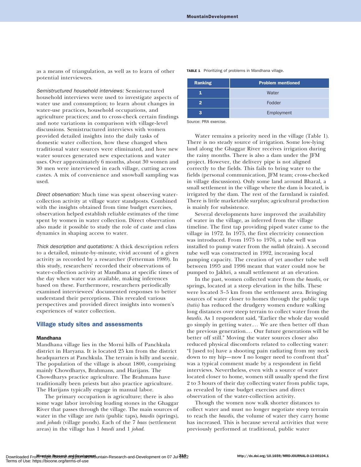as a means of triangulation, as well as to learn of other potential interviewees.

Semistructured household interviews: Semistructured household interviews were used to investigate aspects of water use and consumption; to learn about changes in water-use practices, household occupations, and agriculture practices; and to cross-check certain findings and note variations in comparison with village-level discussions. Semistructured interviews with women provided detailed insights into the daily tasks of domestic water collection, how these changed when traditional water sources were eliminated, and how new water sources generated new expectations and water uses. Over approximately 6 months, about 30 women and 30 men were interviewed in each village, cutting across castes. A mix of convenience and snowball sampling was used.

Direct observation: Much time was spent observing watercollection activity at village water standposts. Combined with the insights obtained from time budget exercises, observation helped establish reliable estimates of the time spent by women in water collection. Direct observation also made it possible to study the role of caste and class dynamics in shaping access to water.

Thick description and quotations: A thick description refers to a detailed, minute-by-minute, vivid account of a given activity as recorded by a researcher (Fetterman 1989). In this study, researchers' recorded their observations of water-collection activity at Mandhana at specific times of the day when water was available, making inferences based on these. Furthermore, researchers periodically examined interviewees' documented responses to better understand their perceptions. This revealed various perspectives and provided direct insights into women's experiences of water collection.

# Village study sites and assessments

### Mandhana

Mandhana village lies in the Morni hills of Panchkula district in Haryana. It is located 25 km from the district headquarters at Panchkula. The terrain is hilly and scenic. The population of the village is about 1800, comprising mainly Chowdharys, Brahmans, and Harijans. The Chowdharys practice agriculture. The Brahmans have traditionally been priests but also practice agriculture. The Harijans typically engage in manual labor.

The primary occupation is agriculture; there is also some wage labor involving loading stones in the Ghaggar River that passes through the village. The main sources of water in the village are *tutis* (public taps), *bawdis* (springs), and johads (village ponds). Each of the 7 baas (settlement areas) in the village has 1 bawdi and 1 johad.

| <b>Ranking</b> | <b>Problem mentioned</b> |
|----------------|--------------------------|
|                |                          |
| 1              | Water                    |
| $\overline{2}$ | Fodder                   |
| з              | Employment               |
|                |                          |

TABLE 1 Prioritizing of problems in Mandhana village.

Source: PRA exercise.

Water remains a priority need in the village (Table 1). There is no steady source of irrigation. Some low-lying land along the Ghaggar River receives irrigation during the rainy months. There is also a dam under the JFM project. However, the delivery pipe is not aligned correctly to the fields. This fails to bring water to the fields (personal communication, JFM team; cross-checked in village discussions). Only some land around Bharal, a small settlement in the village where the dam is located, is irrigated by the dam. The rest of the farmland is rainfed. There is little marketable surplus; agricultural production is mainly for subsistence.

Several developments have improved the availability of water in the village, as inferred from the village timeline. The first tap providing piped water came to the village in 1972. In 1975, the first electricity connection was introduced. From 1975 to 1976, a tube well was installed to pump water from the nallah (drain). A second tube well was constructed in 1992, increasing local pumping capacity. The creation of yet another tube well between 1995 and 1996 meant that water could now be pumped to Jakhri, a small settlement at an elevation.

In the past, women collected water from the bawdis, or springs, located at a steep elevation in the hills. These were located 3–5 km from the settlement area. Bringing sources of water closer to homes through the public taps (tutis) has reduced the drudgery women endure walking long distances over steep terrain to collect water from the bawdis. As 1 respondent said, "Earlier the whole day would go simply in getting water.… We are then better off than the previous generation.… Our future generations will be better off still.'' Moving the water sources closer also reduced physical discomforts related to collecting water: ''I [used to] have a shooting pain radiating from my neck down to my hip—now I no longer need to confront that'' was a typical comment made by a respondent in field interviews. Nevertheless, even with a source of water located closer to home, women still usually spend the first 2 to 3 hours of their day collecting water from public taps, as revealed by time budget exercises and direct observation of the water-collection activity.

Though the women now walk shorter distances to collect water and must no longer negotiate steep terrain to reach the bawdis, the volume of water they carry home has increased. This is because several activities that were previously performed at traditional, public water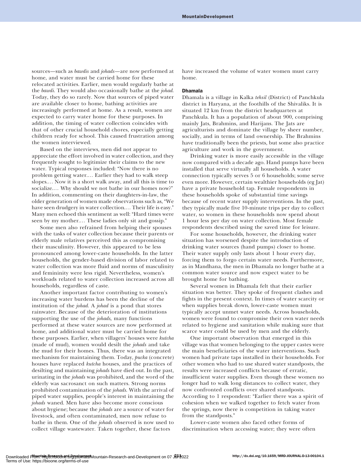sources—such as bawdis and johads—are now performed at home, and water must be carried home for these relocated activities. Earlier, men would regularly bathe at the bawdi. They would also occasionally bathe at the johad. Today, they do so rarely. Now that sources of piped water are available closer to home, bathing activities are increasingly performed at home. As a result, women are expected to carry water home for these purposes. In addition, the timing of water collection coincides with that of other crucial household chores, especially getting children ready for school. This caused frustration among the women interviewed.

Based on the interviews, men did not appear to appreciate the effort involved in water collection, and they frequently sought to legitimize their claims to the new water. Typical responses included: ''Now there is no problem getting water.… Earlier they had to walk steep slopes.… Now it is a short walk away, and all this is time to socialize.… Why should we not bathe in our homes now?'' In addition, commenting on their daughters-in-law, the older generation of women made observations such as, ''We have seen drudgery in water collection.... Their life is easy." Many men echoed this sentiment as well: "Hard times were seen by my mother.… These ladies only sit and gossip.''

Some men also refrained from helping their spouses with the tasks of water collection because their parents or elderly male relatives perceived this as compromising their masculinity. However, this appeared to be less pronounced among lower-caste households. In the latter households, the gender-based division of labor related to water collection was more fluid and norms of masculinity and femininity were less rigid. Nevertheless, women's workloads related to water collection increased across all households, regardless of caste.

Another important factor contributing to women's increasing water burdens has been the decline of the institution of the johad. A johad is a pond that stores rainwater. Because of the deterioration of institutions supporting the use of the *johads*, many functions performed at these water sources are now performed at home, and additional water must be carried home for these purposes. Earlier, when villagers' houses were kutcha (made of mud), women would desilt the johads and take the mud for their homes. Thus, there was an integrated mechanism for maintaining them. Today, pucka (concrete) houses have replaced *kutcha* houses, and the practices of desilting and maintaining johads have died out. In the past, urinating in the johads was prohibited, and the word of the elderly was sacrosanct on such matters. Strong norms prohibited contamination of the johads. With the arrival of piped water supplies, people's interest in maintaining the johads waned. Men have also become more conscious about hygiene; because the johads are a source of water for livestock, and often contaminated, men now refuse to bathe in them. One of the johads observed is now used to collect village wastewater. Taken together, these factors

have increased the volume of water women must carry home.

## Dhamala

Dhamala is a village in Kalka tehsil (District) of Panchkula district in Haryana, at the foothills of the Shivaliks. It is situated 12 km from the district headquarters at Panchkula. It has a population of about 900, comprising mainly Jats, Brahmins, and Harijans. The Jats are agriculturists and dominate the village by sheer number, socially, and in terms of land ownership. The Brahmins have traditionally been the priests, but some also practice agriculture and work in the government.

Drinking water is more easily accessible in the village now compared with a decade ago. Hand pumps have been installed that serve virtually all households. A water connection typically serves 5 or 6 households; some serve even more. However, certain wealthier households (eg Jat) have a private household tap. Female respondents in these households spoke of substantial time savings because of recent water supply interventions. In the past, they typically made five 10-minute trips per day to collect water, so women in these households now spend about 1 hour less per day on water collection. Most female respondents described using the saved time for leisure.

For some households, however, the drinking water situation has worsened despite the introduction of drinking water sources (hand pumps) closer to home. Their water supply only lasts about 1 hour every day, forcing them to forgo certain water needs. Furthermore, as in Mandhana, the men in Dhamala no longer bathe at a common water source and now expect water to be brought home for bathing.

Several women in Dhamala felt that their earlier situation was better. They spoke of frequent clashes and fights in the present context. In times of water scarcity or when supplies break down, lower-caste women must typically accept unmet water needs. Across households, women were found to compromise their own water needs related to hygiene and sanitation while making sure that scarce water could be used by men and the elderly.

One important observation that emerged in this village was that women belonging to the upper castes were the main beneficiaries of the water interventions. Such women had private taps installed in their households. For other women who had to use shared water standposts, the results were increased conflicts because of erratic, insufficient water supplies. Even though these women no longer had to walk long distances to collect water, they now confronted conflicts over shared standposts. According to 1 respondent: "Earlier there was a spirit of cohesion when we walked together to fetch water from the springs, now there is competition in taking water from the standposts.''

Lower-caste women also faced other forms of discrimination when accessing water; they were often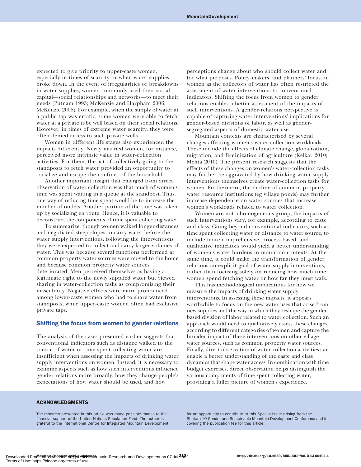expected to give priority to upper-caste women, especially in times of scarcity or when water supplies broke down. In the event of irregularities or breakdowns in water supplies, women commonly used their social capital—social relationships and networks—to meet their needs (Putnam 1993; McKenzie and Harpham 2006; McKenzie 2008). For example, when the supply of water at a public tap was erratic, some women were able to fetch water at a private tube well based on their social relations. However, in times of extreme water scarcity, they were often denied access to such private wells.

Women in different life stages also experienced the impacts differently. Newly married women, for instance, perceived more intrinsic value in water-collection activities. For them, the act of collectively going to the standposts to fetch water provided an opportunity to socialize and escape the confines of the household.

Another important insight that emerged from direct observation of water collection was that much of women's time was spent waiting in a queue at the standpost. Thus, one way of reducing time spent would be to increase the number of outlets. Another portion of the time was taken up by socializing en route. Hence, it is valuable to deconstruct the components of time spent collecting water.

To summarize, though women walked longer distances and negotiated steep slopes to carry water before the water supply interventions, following the interventions they were expected to collect and carry larger volumes of water. This was because several functions performed at common property water sources were moved to the home and because common property water sources deteriorated. Men perceived themselves as having a legitimate right to the newly supplied water but viewed sharing in water-collection tasks as compromising their masculinity. Negative effects were more pronounced among lower-caste women who had to share water from standposts, while upper-caste women often had exclusive private taps.

## Shifting the focus from women to gender relations

The analysis of the cases presented earlier suggests that conventional indicators such as distance walked to the source of water or time spent collecting water are insufficient when assessing the impacts of drinking water supply interventions on women. Instead, it is necessary to examine aspects such as how such interventions influence gender relations more broadly, how they change people's expectations of how water should be used, and how

perceptions change about who should collect water and for what purposes. Policy-makers' and planners' focus on women as the collectors of water has often restricted the assessment of water interventions to conventional indicators. Shifting the focus from women to gender relations enables a better assessment of the impacts of such interventions. A gender-relations perspective is capable of capturing water interventions' implications for gender-based divisions of labor, as well as gendersegregated aspects of domestic water use.

Mountain contexts are characterized by several changes affecting women's water-collection workloads. These include the effects of climate change, globalization, migration, and feminization of agriculture (Kelkar 2010; Mehta 2010). The present research suggests that the effects of these changes on women's water-collection tasks may further be aggravated by how drinking water supply interventions themselves create water-collection tasks for women. Furthermore, the decline of common property water resource institutions (eg village ponds) may further increase dependence on water sources that increase women's workloads related to water collection.

Women are not a homogeneous group; the impacts of such interventions vary, for example, according to caste and class. Going beyond conventional indicators, such as time spent collecting water or distance to water source, to include more comprehensive, process-based, and qualitative indicators would yield a better understanding of women's water burdens in mountain contexts. At the same time, it could make the transformation of gender relations an explicit goal of water supply interventions, rather than focusing solely on reducing how much time women spend fetching water or how far they must walk.

This has methodological implications for how we measure the impacts of drinking water supply interventions. In assessing these impacts, it appears worthwhile to focus on the new water uses that arise from new supplies and the way in which they reshape the genderbased division of labor related to water collection. Such an approach would need to qualitatively assess these changes according to different categories of women and capture the broader impact of these interventions on other village water sources, such as common property water sources. Finally, direct observation of water-collection activities can enable a better understanding of the caste and class dynamics that shape water access. In combination with time budget exercises, direct observation helps distinguish the various components of time spent collecting water, providing a fuller picture of women's experience.

#### ACKNOWLEDGMENTS

The research presented in this article was made possible thanks to the financial support of the United Nations Population Fund. The author is grateful to the International Centre for Integrated Mountain Development

for an opportunity to contribute to this Special Issue arising from the Bhutan+10 Gender and Sustainable Mountain Development Conference and for covering the publication fee for this article.